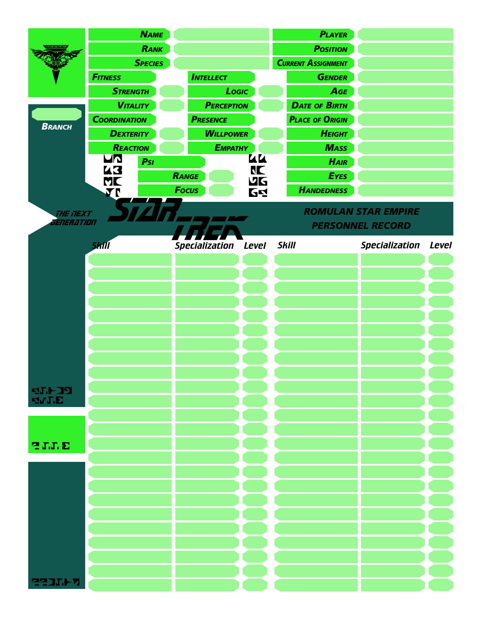|                       | <b>NAME</b>         |     |                  |                   |           |                 | <b>PLAYER</b>             |                            |              |
|-----------------------|---------------------|-----|------------------|-------------------|-----------|-----------------|---------------------------|----------------------------|--------------|
|                       | RANK                |     |                  |                   |           | <b>POSITION</b> |                           |                            |              |
|                       | <b>SPECIES</b>      |     |                  |                   |           |                 | <b>CURRENT ASSIGNMENT</b> |                            |              |
|                       | <b>FITNESS</b>      |     | <b>INTELLECT</b> |                   |           | <b>GENDER</b>   |                           |                            |              |
|                       | <b>STRENGTH</b>     |     | Logic            |                   |           |                 | AGE                       |                            |              |
| <b>BRANCH</b>         | <b>VITALITY</b>     |     |                  | <b>PERCEPTION</b> |           |                 | <b>DATE OF BIRTH</b>      |                            |              |
|                       | <b>COORDINATION</b> |     | <b>PRESENCE</b>  |                   |           |                 | <b>PLACE OF ORIGIN</b>    |                            |              |
|                       | <b>DEXTERITY</b>    |     |                  | <b>WILLPOWER</b>  |           |                 | <b>HEIGHT</b>             |                            |              |
|                       | REACTION            |     | <b>Емратну</b>   |                   |           |                 | <b>MASS</b>               |                            |              |
|                       | UN<br>43            | Psi |                  |                   | UU<br>NC  |                 | <b>HAIR</b>               |                            |              |
|                       | ML                  |     | RANGE            |                   | <b>VG</b> |                 | <b>EYES</b>               |                            |              |
|                       | <b>VI</b>           |     | <b>Focus</b>     |                   | <b>64</b> |                 | <b>HANDEDNESS</b>         |                            |              |
| THE TIEXT             |                     |     |                  |                   |           |                 |                           | <b>ROMULAN STAR EMPIRE</b> |              |
| <i>ENER ATION</i>     |                     |     |                  |                   |           |                 |                           | <b>PERSONNEL RECORD</b>    |              |
|                       |                     |     |                  |                   |           |                 |                           |                            |              |
|                       | <b>Skill</b>        |     |                  | Specialization    | Level     | <b>Skill</b>    |                           | <b>Specialization</b>      | <b>Level</b> |
|                       |                     |     |                  |                   |           |                 |                           |                            |              |
|                       |                     |     |                  |                   |           |                 |                           |                            |              |
|                       |                     |     |                  |                   |           |                 |                           |                            |              |
|                       |                     |     |                  |                   |           |                 |                           |                            |              |
|                       |                     |     |                  |                   |           |                 |                           |                            |              |
|                       |                     |     |                  |                   |           |                 |                           |                            |              |
|                       |                     |     |                  |                   |           |                 |                           |                            |              |
|                       |                     |     |                  |                   |           |                 |                           |                            |              |
|                       |                     |     |                  |                   |           |                 |                           |                            |              |
| <b>SL475</b><br>₫νT,E |                     |     |                  |                   |           |                 |                           |                            |              |
|                       |                     |     |                  |                   |           |                 |                           |                            |              |
|                       |                     |     |                  |                   |           |                 |                           |                            |              |
| <b>SITE</b>           |                     |     |                  |                   |           |                 |                           |                            |              |
|                       |                     |     |                  |                   |           |                 |                           |                            |              |
|                       |                     |     |                  |                   |           |                 |                           |                            |              |
|                       |                     |     |                  |                   |           |                 |                           |                            |              |
|                       |                     |     |                  |                   |           |                 |                           |                            |              |
|                       |                     |     |                  |                   |           |                 |                           |                            |              |
|                       |                     |     |                  |                   |           |                 |                           |                            |              |
|                       |                     |     |                  |                   |           |                 |                           |                            |              |
|                       |                     |     |                  |                   |           |                 |                           |                            |              |
|                       |                     |     |                  |                   |           |                 |                           |                            |              |
| <b>RAJILPP</b>        |                     |     |                  |                   |           |                 |                           |                            |              |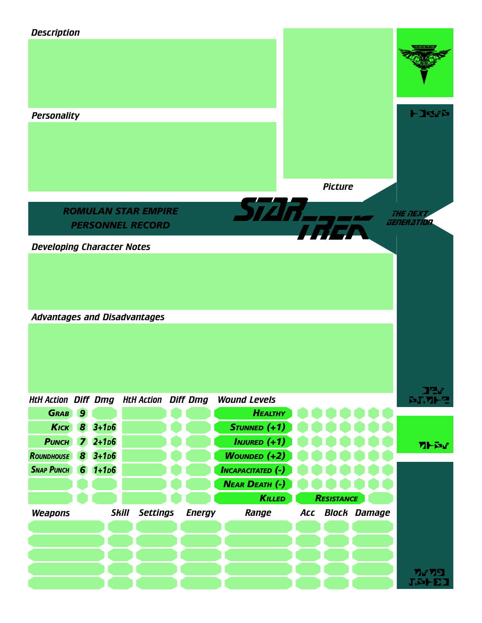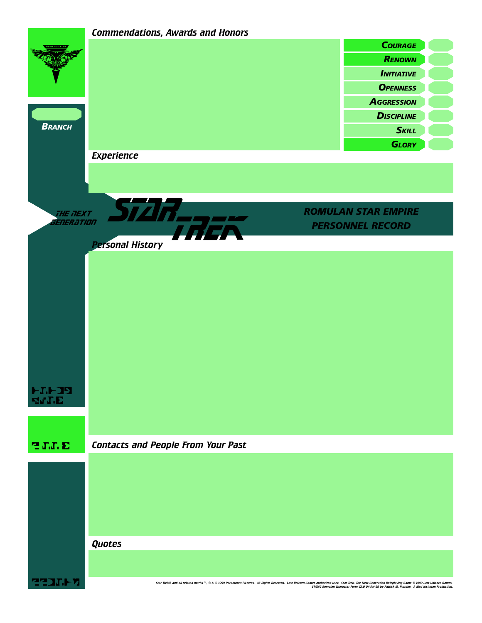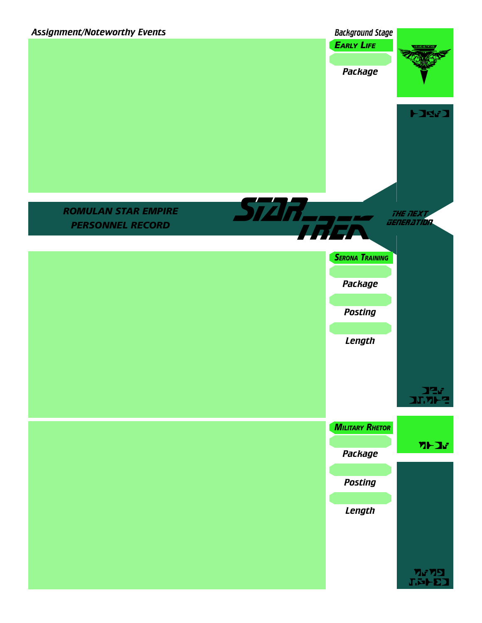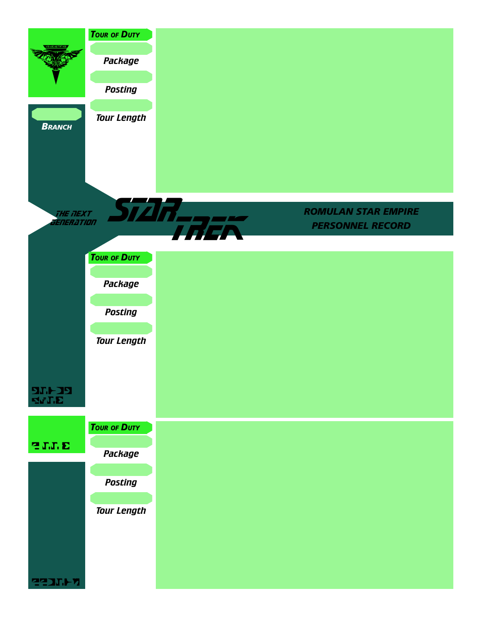